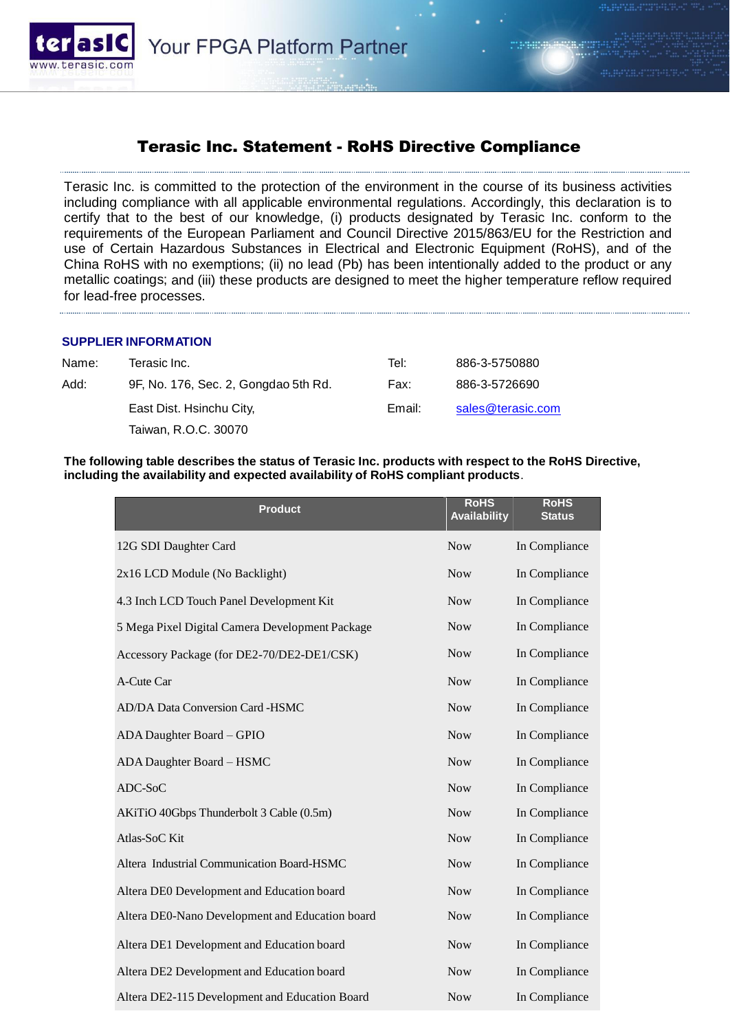

## Terasic Inc. Statement - RoHS Directive Compliance

Terasic Inc. is committed to the protection of the environment in the course of its business activities including compliance with all applicable environmental regulations. Accordingly, this declaration is to certify that to the best of our knowledge, (i) products designated by Terasic Inc. conform to the requirements of the European Parliament and Council Directive 2015/863/EU for the Restriction and use of Certain Hazardous Substances in Electrical and Electronic Equipment (RoHS), and of the China RoHS with no exemptions; (ii) no lead (Pb) has been intentionally added to the product or any metallic coatings; and (iii) these products are designed to meet the higher temperature reflow required for lead-free processes.

## **SUPPLIER INFORMATION**

| Tel:                                                                                     | 886-3-5750880     |
|------------------------------------------------------------------------------------------|-------------------|
| Fax:                                                                                     | 886-3-5726690     |
| Email:                                                                                   | sales@terasic.com |
|                                                                                          |                   |
| 9F, No. 176, Sec. 2, Gongdao 5th Rd.<br>East Dist. Hsinchu City,<br>Taiwan, R.O.C. 30070 |                   |

**The following table describes the status of Terasic Inc. products with respect to the RoHS Directive, including the availability and expected availability of RoHS compliant products**.

| <b>Product</b>                                  | <b>RoHS</b><br><b>Availability</b> | <b>RoHS</b><br><b>Status</b> |
|-------------------------------------------------|------------------------------------|------------------------------|
| 12G SDI Daughter Card                           | <b>Now</b>                         | In Compliance                |
| 2x16 LCD Module (No Backlight)                  | <b>Now</b>                         | In Compliance                |
| 4.3 Inch LCD Touch Panel Development Kit        | <b>Now</b>                         | In Compliance                |
| 5 Mega Pixel Digital Camera Development Package | <b>Now</b>                         | In Compliance                |
| Accessory Package (for DE2-70/DE2-DE1/CSK)      | <b>Now</b>                         | In Compliance                |
| A-Cute Car                                      | <b>Now</b>                         | In Compliance                |
| AD/DA Data Conversion Card -HSMC                | <b>Now</b>                         | In Compliance                |
| ADA Daughter Board - GPIO                       | <b>Now</b>                         | In Compliance                |
| ADA Daughter Board - HSMC                       | <b>Now</b>                         | In Compliance                |
| ADC-SoC                                         | <b>Now</b>                         | In Compliance                |
| AKiTiO 40Gbps Thunderbolt 3 Cable (0.5m)        | <b>Now</b>                         | In Compliance                |
| Atlas-SoC Kit                                   | <b>Now</b>                         | In Compliance                |
| Altera Industrial Communication Board-HSMC      | <b>Now</b>                         | In Compliance                |
| Altera DE0 Development and Education board      | <b>Now</b>                         | In Compliance                |
| Altera DE0-Nano Development and Education board | <b>Now</b>                         | In Compliance                |
| Altera DE1 Development and Education board      | <b>Now</b>                         | In Compliance                |
| Altera DE2 Development and Education board      | <b>Now</b>                         | In Compliance                |
| Altera DE2-115 Development and Education Board  | <b>Now</b>                         | In Compliance                |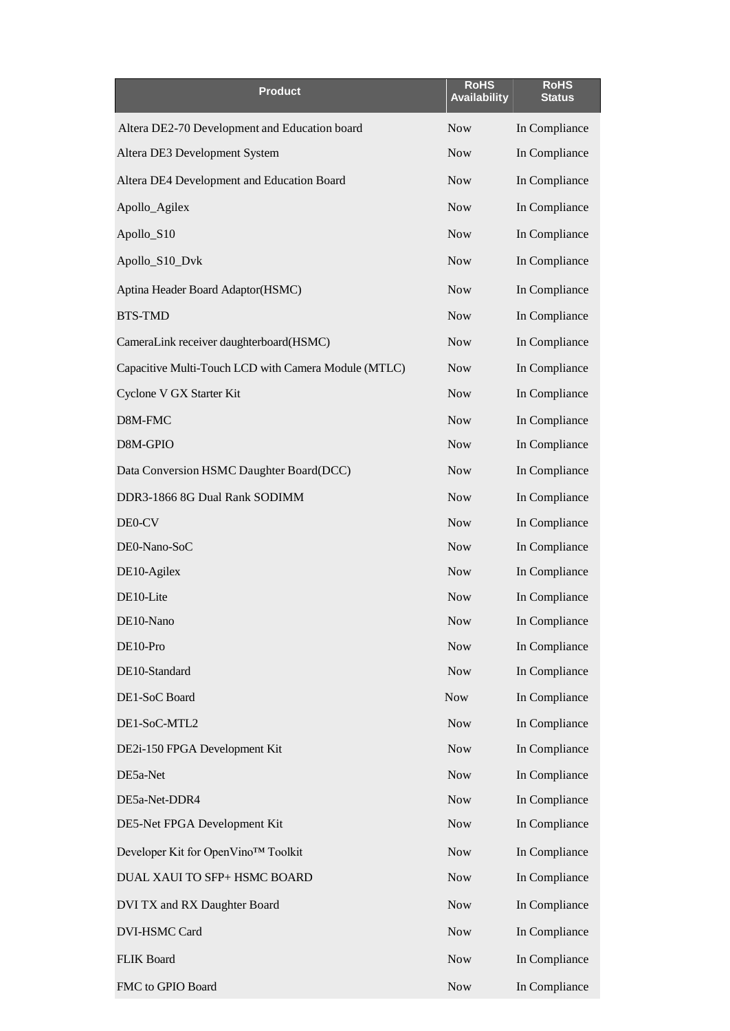| <b>Product</b>                                       | <b>RoHS</b><br><b>Availability</b> | <b>RoHS</b><br><b>Status</b> |  |  |
|------------------------------------------------------|------------------------------------|------------------------------|--|--|
| Altera DE2-70 Development and Education board        | <b>Now</b>                         | In Compliance                |  |  |
| Altera DE3 Development System                        | <b>Now</b>                         | In Compliance                |  |  |
| Altera DE4 Development and Education Board           | <b>Now</b>                         | In Compliance                |  |  |
| Apollo_Agilex                                        | <b>Now</b>                         | In Compliance                |  |  |
| Apollo_S10                                           | <b>Now</b>                         | In Compliance                |  |  |
| Apollo_S10_Dvk                                       | <b>Now</b>                         | In Compliance                |  |  |
| Aptina Header Board Adaptor(HSMC)                    | <b>Now</b>                         | In Compliance                |  |  |
| <b>BTS-TMD</b>                                       | <b>Now</b><br>In Compliance        |                              |  |  |
| CameraLink receiver daughterboard(HSMC)              | <b>Now</b>                         | In Compliance                |  |  |
| Capacitive Multi-Touch LCD with Camera Module (MTLC) | <b>Now</b>                         | In Compliance                |  |  |
| Cyclone V GX Starter Kit                             | <b>Now</b>                         | In Compliance                |  |  |
| D8M-FMC                                              | <b>Now</b>                         | In Compliance                |  |  |
| D8M-GPIO                                             | <b>Now</b>                         | In Compliance                |  |  |
| Data Conversion HSMC Daughter Board(DCC)             | <b>Now</b>                         | In Compliance                |  |  |
| DDR3-1866 8G Dual Rank SODIMM                        | <b>Now</b>                         | In Compliance                |  |  |
| DE0-CV                                               | <b>Now</b>                         | In Compliance                |  |  |
| DE0-Nano-SoC                                         | <b>Now</b>                         | In Compliance                |  |  |
| DE10-Agilex                                          | <b>Now</b>                         | In Compliance                |  |  |
| DE10-Lite                                            | <b>Now</b>                         | In Compliance                |  |  |
| DE10-Nano                                            | <b>Now</b>                         | In Compliance                |  |  |
| DE10-Pro                                             | <b>Now</b>                         | In Compliance                |  |  |
| DE10-Standard                                        | <b>Now</b>                         | In Compliance                |  |  |
| DE1-SoC Board                                        | <b>Now</b>                         | In Compliance                |  |  |
| DE1-SoC-MTL2                                         | <b>Now</b>                         | In Compliance                |  |  |
| DE2i-150 FPGA Development Kit                        | <b>Now</b>                         | In Compliance                |  |  |
| DE5a-Net                                             | <b>Now</b>                         | In Compliance                |  |  |
| DE5a-Net-DDR4                                        | <b>Now</b>                         | In Compliance                |  |  |
| DE5-Net FPGA Development Kit                         | <b>Now</b>                         | In Compliance                |  |  |
| Developer Kit for OpenVino™ Toolkit                  | <b>Now</b>                         | In Compliance                |  |  |
| DUAL XAUI TO SFP+ HSMC BOARD                         | <b>Now</b>                         | In Compliance                |  |  |
| DVI TX and RX Daughter Board                         | <b>Now</b>                         | In Compliance                |  |  |
| DVI-HSMC Card                                        | <b>Now</b>                         | In Compliance                |  |  |
| FLIK Board                                           | <b>Now</b>                         | In Compliance                |  |  |
| FMC to GPIO Board                                    | <b>Now</b>                         | In Compliance                |  |  |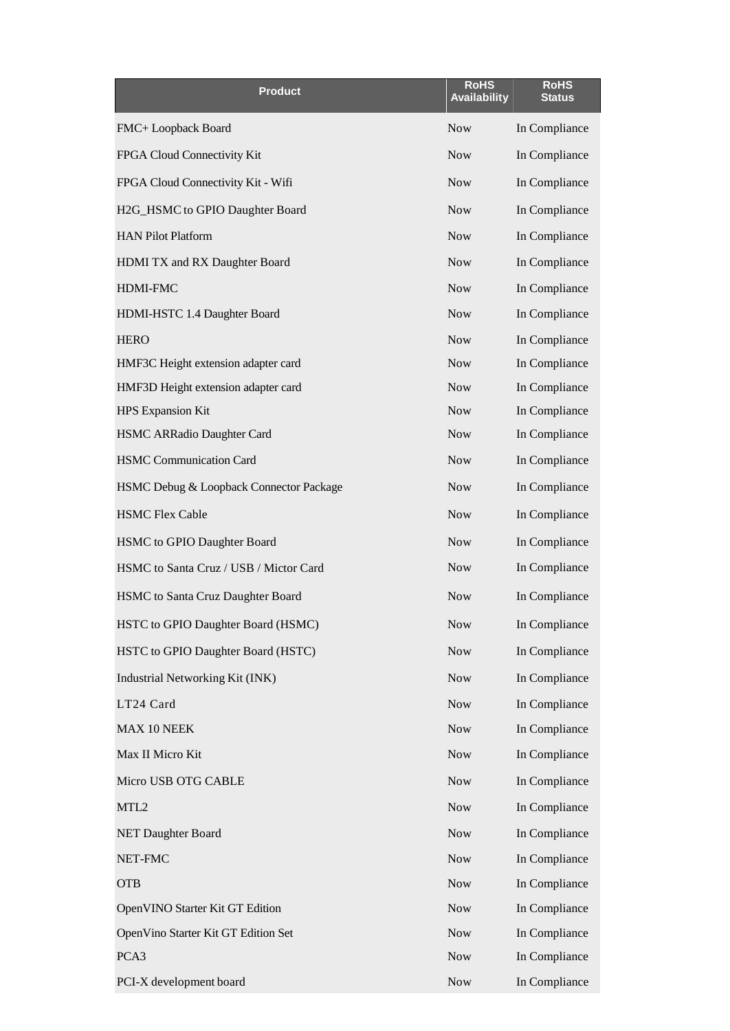| <b>Product</b>                          | <b>RoHS</b><br><b>Availability</b> | <b>RoHS</b><br><b>Status</b> |  |  |
|-----------------------------------------|------------------------------------|------------------------------|--|--|
| FMC+ Loopback Board                     | <b>Now</b>                         | In Compliance                |  |  |
| FPGA Cloud Connectivity Kit             | <b>Now</b>                         | In Compliance                |  |  |
| FPGA Cloud Connectivity Kit - Wifi      | <b>Now</b>                         | In Compliance                |  |  |
| H2G_HSMC to GPIO Daughter Board         | <b>Now</b>                         | In Compliance                |  |  |
| <b>HAN Pilot Platform</b>               | <b>Now</b>                         | In Compliance                |  |  |
| HDMI TX and RX Daughter Board           | <b>Now</b>                         | In Compliance                |  |  |
| HDMI-FMC                                | <b>Now</b>                         | In Compliance                |  |  |
| HDMI-HSTC 1.4 Daughter Board            | <b>Now</b><br>In Compliance        |                              |  |  |
| <b>HERO</b>                             | <b>Now</b><br>In Compliance        |                              |  |  |
| HMF3C Height extension adapter card     | <b>Now</b>                         | In Compliance                |  |  |
| HMF3D Height extension adapter card     | <b>Now</b>                         | In Compliance                |  |  |
| <b>HPS Expansion Kit</b>                | <b>Now</b>                         | In Compliance                |  |  |
| HSMC ARRadio Daughter Card              | <b>Now</b>                         | In Compliance                |  |  |
| <b>HSMC Communication Card</b>          | <b>Now</b>                         | In Compliance                |  |  |
| HSMC Debug & Loopback Connector Package | <b>Now</b>                         | In Compliance                |  |  |
| <b>HSMC Flex Cable</b>                  | <b>Now</b>                         | In Compliance                |  |  |
| HSMC to GPIO Daughter Board             | <b>Now</b>                         | In Compliance                |  |  |
| HSMC to Santa Cruz / USB / Mictor Card  | <b>Now</b>                         | In Compliance                |  |  |
| HSMC to Santa Cruz Daughter Board       | <b>Now</b>                         | In Compliance                |  |  |
| HSTC to GPIO Daughter Board (HSMC)      | <b>Now</b>                         | In Compliance                |  |  |
| HSTC to GPIO Daughter Board (HSTC)      | <b>Now</b>                         | In Compliance                |  |  |
| Industrial Networking Kit (INK)         | <b>Now</b>                         | In Compliance                |  |  |
| LT24 Card                               | <b>Now</b>                         | In Compliance                |  |  |
| MAX 10 NEEK                             | <b>Now</b>                         | In Compliance                |  |  |
| Max II Micro Kit                        | <b>Now</b>                         | In Compliance                |  |  |
| Micro USB OTG CABLE                     | <b>Now</b>                         | In Compliance                |  |  |
| MTL <sub>2</sub>                        | <b>Now</b>                         | In Compliance                |  |  |
| <b>NET Daughter Board</b>               | <b>Now</b>                         | In Compliance                |  |  |
| NET-FMC                                 | <b>Now</b>                         | In Compliance                |  |  |
| <b>OTB</b>                              | <b>Now</b>                         | In Compliance                |  |  |
| OpenVINO Starter Kit GT Edition         | <b>Now</b>                         | In Compliance                |  |  |
| OpenVino Starter Kit GT Edition Set     | <b>Now</b>                         | In Compliance                |  |  |
| PCA3                                    | <b>Now</b>                         | In Compliance                |  |  |
| PCI-X development board                 | <b>Now</b>                         | In Compliance                |  |  |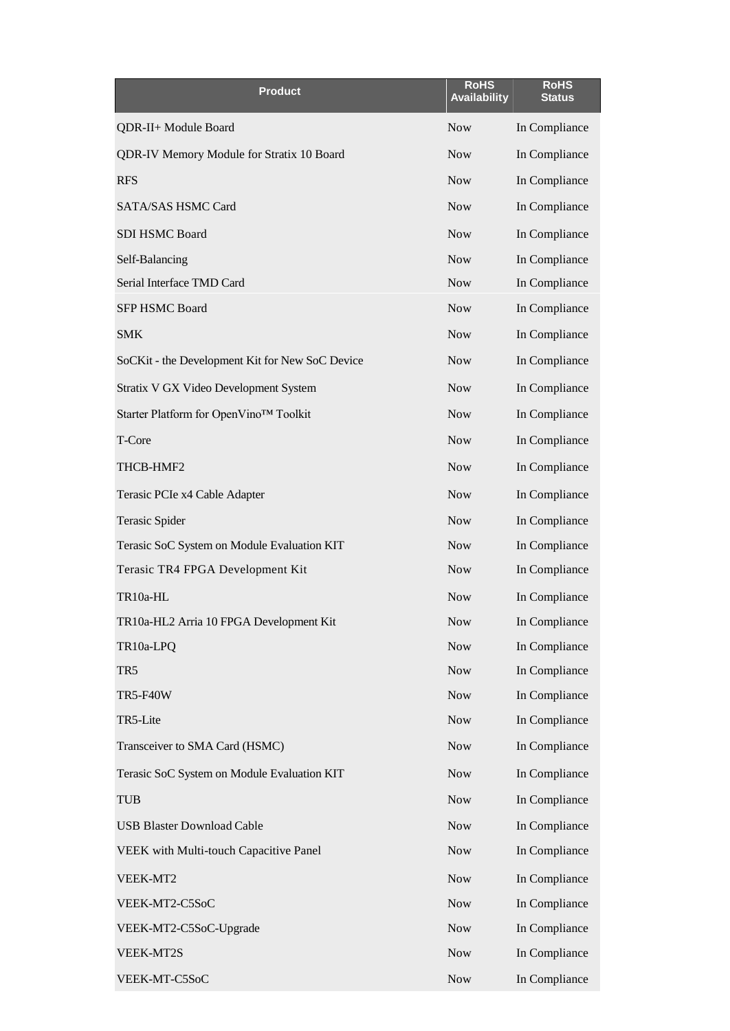| <b>Product</b>                                  | <b>RoHS</b><br><b>Availability</b> | <b>RoHS</b><br><b>Status</b> |
|-------------------------------------------------|------------------------------------|------------------------------|
| QDR-II+ Module Board                            | <b>Now</b>                         | In Compliance                |
| QDR-IV Memory Module for Stratix 10 Board       | <b>Now</b>                         | In Compliance                |
| <b>RFS</b>                                      | <b>Now</b>                         | In Compliance                |
| SATA/SAS HSMC Card                              | <b>Now</b>                         | In Compliance                |
| SDI HSMC Board                                  | <b>Now</b>                         | In Compliance                |
| Self-Balancing                                  | <b>Now</b>                         | In Compliance                |
| Serial Interface TMD Card                       | <b>Now</b>                         | In Compliance                |
| <b>SFP HSMC Board</b>                           | <b>Now</b>                         | In Compliance                |
| <b>SMK</b>                                      | <b>Now</b>                         | In Compliance                |
| SoCKit - the Development Kit for New SoC Device | <b>Now</b>                         | In Compliance                |
| Stratix V GX Video Development System           | <b>Now</b>                         | In Compliance                |
| Starter Platform for OpenVino™ Toolkit          | <b>Now</b>                         | In Compliance                |
| T-Core                                          | <b>Now</b>                         | In Compliance                |
| THCB-HMF2                                       | <b>Now</b>                         | In Compliance                |
| Terasic PCIe x4 Cable Adapter                   | <b>Now</b>                         | In Compliance                |
| <b>Terasic Spider</b>                           | <b>Now</b>                         | In Compliance                |
| Terasic SoC System on Module Evaluation KIT     | <b>Now</b>                         | In Compliance                |
| Terasic TR4 FPGA Development Kit                | <b>Now</b>                         | In Compliance                |
| TR10a-HL                                        | <b>Now</b>                         | In Compliance                |
| TR10a-HL2 Arria 10 FPGA Development Kit         | <b>Now</b>                         | In Compliance                |
| TR10a-LPQ                                       | <b>Now</b>                         | In Compliance                |
| TR5                                             | <b>Now</b>                         | In Compliance                |
| <b>TR5-F40W</b>                                 | <b>Now</b>                         | In Compliance                |
| TR5-Lite                                        | <b>Now</b>                         | In Compliance                |
| Transceiver to SMA Card (HSMC)                  | <b>Now</b>                         | In Compliance                |
| Terasic SoC System on Module Evaluation KIT     | <b>Now</b>                         | In Compliance                |
| <b>TUB</b>                                      | <b>Now</b>                         | In Compliance                |
| <b>USB Blaster Download Cable</b>               | <b>Now</b>                         | In Compliance                |
| VEEK with Multi-touch Capacitive Panel          | <b>Now</b>                         | In Compliance                |
| VEEK-MT2                                        | <b>Now</b>                         | In Compliance                |
| VEEK-MT2-C5SoC                                  | <b>Now</b>                         | In Compliance                |
| VEEK-MT2-C5SoC-Upgrade                          | <b>Now</b>                         | In Compliance                |
| VEEK-MT2S                                       | <b>Now</b>                         | In Compliance                |
| VEEK-MT-C5SoC                                   | <b>Now</b>                         | In Compliance                |